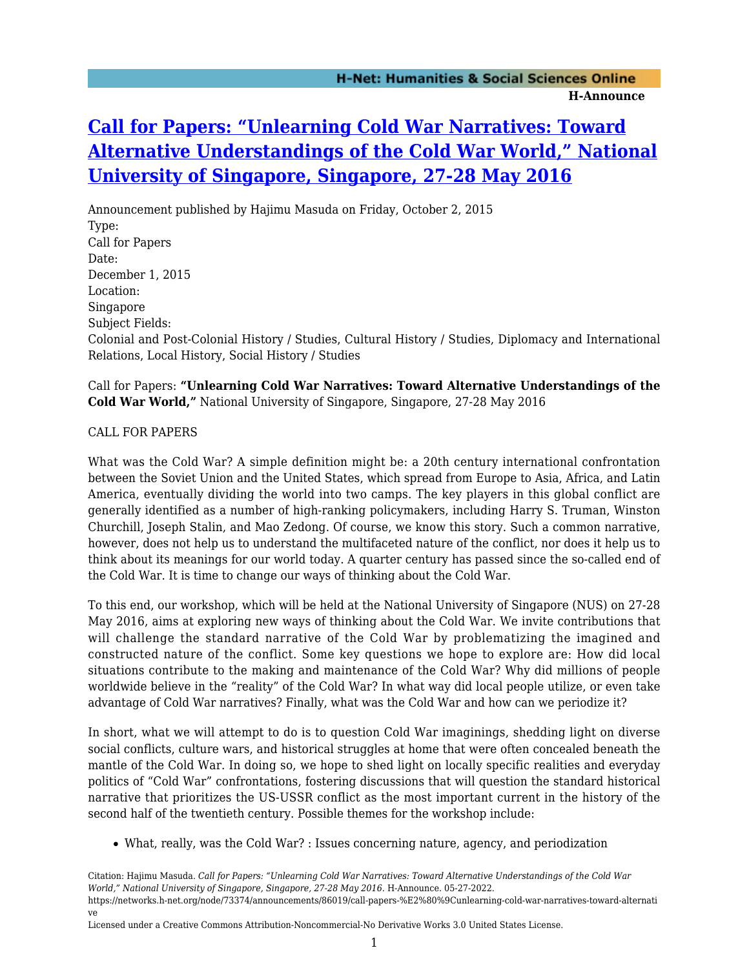## **[Call for Papers: "Unlearning Cold War Narratives: Toward](https://networks.h-net.org/node/73374/announcements/86019/call-papers-%E2%80%9Cunlearning-cold-war-narratives-toward-alternative) [Alternative Understandings of the Cold War World," National](https://networks.h-net.org/node/73374/announcements/86019/call-papers-%E2%80%9Cunlearning-cold-war-narratives-toward-alternative) [University of Singapore, Singapore, 27-28 May 2016](https://networks.h-net.org/node/73374/announcements/86019/call-papers-%E2%80%9Cunlearning-cold-war-narratives-toward-alternative)**

Announcement published by Hajimu Masuda on Friday, October 2, 2015 Type: Call for Papers Date: December 1, 2015 Location: Singapore Subject Fields: Colonial and Post-Colonial History / Studies, Cultural History / Studies, Diplomacy and International Relations, Local History, Social History / Studies

Call for Papers: **"Unlearning Cold War Narratives: Toward Alternative Understandings of the Cold War World,"** National University of Singapore, Singapore, 27-28 May 2016

## CALL FOR PAPERS

What was the Cold War? A simple definition might be: a 20th century international confrontation between the Soviet Union and the United States, which spread from Europe to Asia, Africa, and Latin America, eventually dividing the world into two camps. The key players in this global conflict are generally identified as a number of high-ranking policymakers, including Harry S. Truman, Winston Churchill, Joseph Stalin, and Mao Zedong. Of course, we know this story. Such a common narrative, however, does not help us to understand the multifaceted nature of the conflict, nor does it help us to think about its meanings for our world today. A quarter century has passed since the so-called end of the Cold War. It is time to change our ways of thinking about the Cold War.

To this end, our workshop, which will be held at the National University of Singapore (NUS) on 27-28 May 2016, aims at exploring new ways of thinking about the Cold War. We invite contributions that will challenge the standard narrative of the Cold War by problematizing the imagined and constructed nature of the conflict. Some key questions we hope to explore are: How did local situations contribute to the making and maintenance of the Cold War? Why did millions of people worldwide believe in the "reality" of the Cold War? In what way did local people utilize, or even take advantage of Cold War narratives? Finally, what was the Cold War and how can we periodize it?

In short, what we will attempt to do is to question Cold War imaginings, shedding light on diverse social conflicts, culture wars, and historical struggles at home that were often concealed beneath the mantle of the Cold War. In doing so, we hope to shed light on locally specific realities and everyday politics of "Cold War" confrontations, fostering discussions that will question the standard historical narrative that prioritizes the US-USSR conflict as the most important current in the history of the second half of the twentieth century. Possible themes for the workshop include:

What, really, was the Cold War? : Issues concerning nature, agency, and periodization

Licensed under a Creative Commons Attribution-Noncommercial-No Derivative Works 3.0 United States License.

Citation: Hajimu Masuda. *Call for Papers: "Unlearning Cold War Narratives: Toward Alternative Understandings of the Cold War World," National University of Singapore, Singapore, 27-28 May 2016*. H-Announce. 05-27-2022. https://networks.h-net.org/node/73374/announcements/86019/call-papers-%E2%80%9Cunlearning-cold-war-narratives-toward-alternati ve